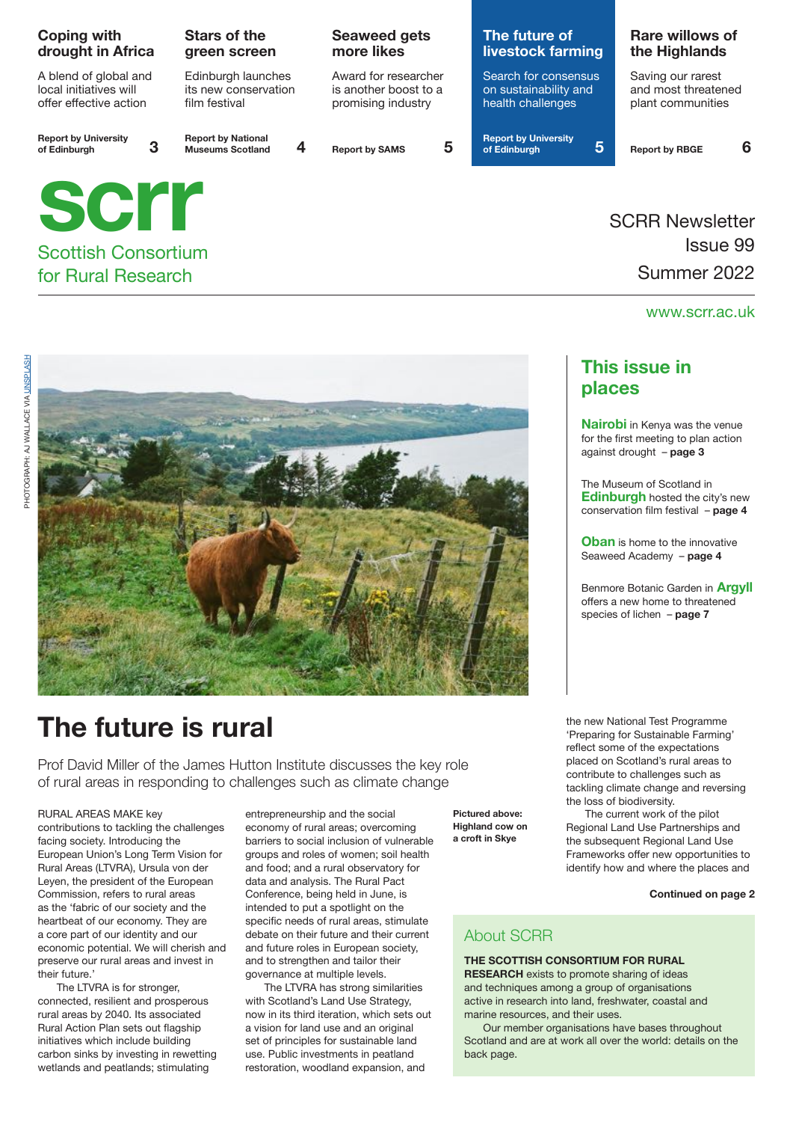| <b>Coping with</b><br>drought in Africa                                   | Stars of the<br>green screen                                | <b>Seaweed gets</b><br>more likes                                   | The future of<br>livestock farming                                 | <b>Rare willows of</b><br>the Highlands                       |
|---------------------------------------------------------------------------|-------------------------------------------------------------|---------------------------------------------------------------------|--------------------------------------------------------------------|---------------------------------------------------------------|
| A blend of global and<br>local initiatives will<br>offer effective action | Edinburgh launches<br>its new conservation<br>film festival | Award for researcher<br>is another boost to a<br>promising industry | Search for consensus<br>on sustainability and<br>health challenges | Saving our rarest<br>and most threatened<br>plant communities |
| <b>Report by University</b><br>3<br>of Edinburgh                          | <b>Report by National</b><br>4<br><b>Museums Scotland</b>   | 5<br><b>Report by SAMS</b>                                          | <b>Report by University</b><br>5<br>of Edinburgh                   | 6<br><b>Report by RBGE</b>                                    |
| <b>SCIT</b>                                                               |                                                             |                                                                     |                                                                    | <b>SCRR Newsletter</b>                                        |
| <b>Scottish Consortium</b>                                                |                                                             |                                                                     |                                                                    | <b>Issue 99</b>                                               |
| for Rural Research                                                        |                                                             |                                                                     | Summer 2022                                                        |                                                               |

## www.scrr.ac.uk



# **The future is rural**

Prof David Miller of the James Hutton Institute discusses the key role of rural areas in responding to challenges such as climate change

### RURAL AREAS MAKE key

contributions to tackling the challenges facing society. Introducing the European Union's Long Term Vision for Rural Areas (LTVRA), Ursula von der Leyen, the president of the European Commission, refers to rural areas as the 'fabric of our society and the heartbeat of our economy. They are a core part of our identity and our economic potential. We will cherish and preserve our rural areas and invest in their future.'

The LTVRA is for stronger, connected, resilient and prosperous rural areas by 2040. Its associated Rural Action Plan sets out flagship initiatives which include building carbon sinks by investing in rewetting wetlands and peatlands; stimulating

entrepreneurship and the social economy of rural areas; overcoming barriers to social inclusion of vulnerable groups and roles of women; soil health and food; and a rural observatory for data and analysis. The Rural Pact Conference, being held in June, is intended to put a spotlight on the specific needs of rural areas, stimulate debate on their future and their current and future roles in European society, and to strengthen and tailor their governance at multiple levels.

The LTVRA has strong similarities with Scotland's Land Use Strategy, now in its third iteration, which sets out a vision for land use and an original set of principles for sustainable land use. Public investments in peatland restoration, woodland expansion, and

**Pictured above: Highland cow on a croft in Skye** 

# **This issue in places**

**Nairobi** in Kenya was the venue for the first meeting to plan action against drought – **page 3**

The Museum of Scotland in **Edinburgh** hosted the city's new conservation film festival - page 4

**Oban** is home to the innovative Seaweed Academy – **page 4**

Benmore Botanic Garden in **Argyll** offers a new home to threatened species of lichen – **page 7**

the new National Test Programme 'Preparing for Sustainable Farming' reflect some of the expectations placed on Scotland's rural areas to contribute to challenges such as tackling climate change and reversing the loss of biodiversity.

The current work of the pilot Regional Land Use Partnerships and the subsequent Regional Land Use Frameworks offer new opportunities to identify how and where the places and

## **Continued on page 2**

## About SCRR

### **THE SCOTTISH CONSORTIUM FOR RURAL**

**RESEARCH** exists to promote sharing of ideas and techniques among a group of organisations active in research into land, freshwater, coastal and marine resources, and their uses.

Our member organisations have bases throughout Scotland and are at work all over the world: details on the back page.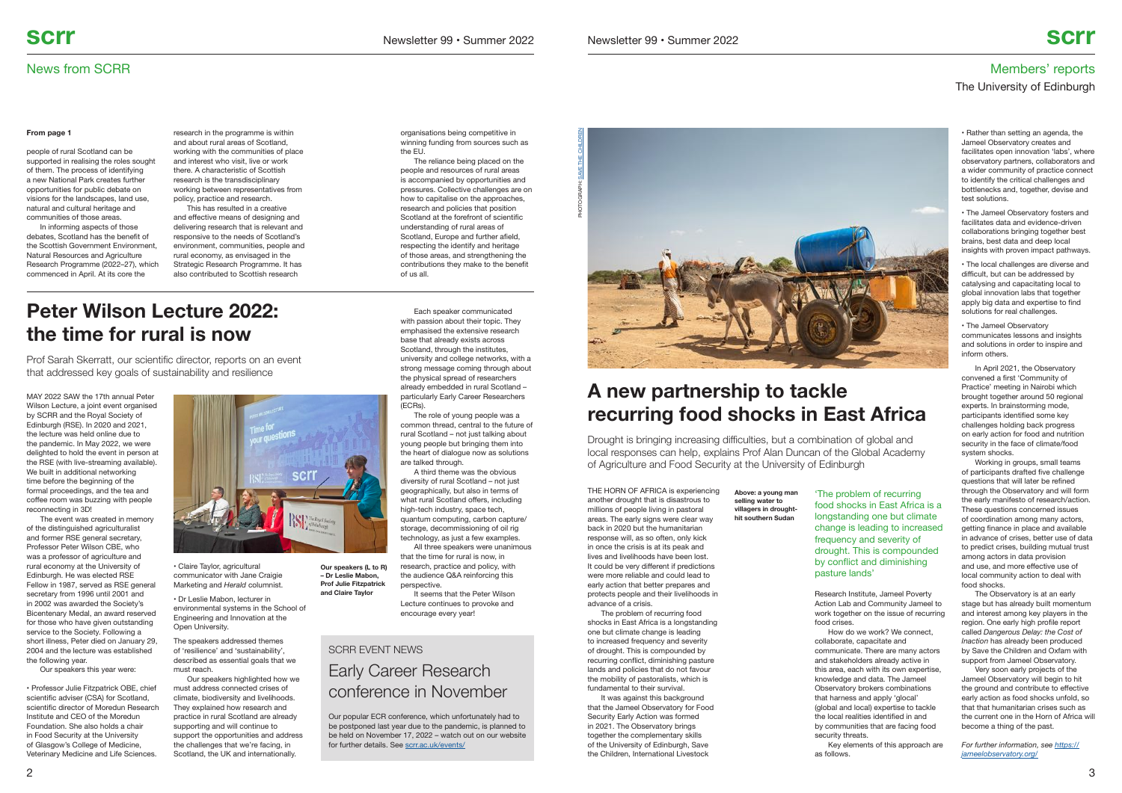# News from SCRR

MAY 2022 SAW the 17th annual Peter Wilson Lecture, a joint event organised by SCRR and the Royal Society of Edinburgh (RSE). In 2020 and 2021, the lecture was held online due to the pandemic. In May 2022, we were delighted to hold the event in person at the RSE (with live-streaming available). We built in additional networking time before the beginning of the formal proceedings, and the tea and coffee room was buzzing with people reconnecting in 3D!

• Professor Julie Fitzpatrick OBE, chief scientific adviser (CSA) for Scotland. scientific director of Moredun Research Institute and CEO of the Moredun Foundation. She also holds a chair in Food Security at the University of Glasgow's College of Medicine, Veterinary Medicine and Life Sciences.



• Claire Tavlor, agricultural communicator with Jane Craigie Marketing and *Herald* columnist.

The event was created in memory of the distinguished agriculturalist and former RSE general secretary, Professor Peter Wilson CBE, who was a professor of agriculture and rural economy at the University of Edinburgh. He was elected RSE Fellow in 1987, served as RSE general secretary from 1996 until 2001 and in 2002 was awarded the Society's Bicentenary Medal, an award reserved for those who have given outstanding service to the Society. Following a short illness, Peter died on January 29, 2004 and the lecture was established the following year.

• Dr Leslie Mabon, lecturer in environmental systems in the School of Engineering and Innovation at the Open University.

Our speakers this year were:

Prof Sarah Skerratt, our scientific director, reports on an event that addressed key goals of sustainability and resilience

> The speakers addressed themes of 'resilience' and 'sustainability', described as essential goals that we must reach.

Our speakers highlighted how we must address connected crises of climate, biodiversity and livelihoods. They explained how research and practice in rural Scotland are already supporting and will continue to support the opportunities and address the challenges that we're facing, in Scotland, the UK and internationally.

# **Peter Wilson Lecture 2022: the time for rural is now**

## **From page 1**

people of rural Scotland can be supported in realising the roles sought of them. The process of identifying a new National Park creates further opportunities for public debate on visions for the landscapes, land use, natural and cultural heritage and communities of those areas.

In informing aspects of those debates, Scotland has the benefit of the Scottish Government Environment, Natural Resources and Agriculture Research Programme (2022–27), which commenced in April. At its core the

research in the programme is within and about rural areas of Scotland, working with the communities of place and interest who visit, live or work there. A characteristic of Scottish research is the transdisciplinary working between representatives from policy, practice and research.

This has resulted in a creative and effective means of designing and delivering research that is relevant and responsive to the needs of Scotland's environment, communities, people and rural economy, as envisaged in the Strategic Research Programme. It has also contributed to Scottish research

> It was against this background that the Jameel Observatory for Food Security Early Action was formed in 2021. The Observatory brings together the complementary skills of the University of Edinburgh, Save the Children, International Livestock

organisations being competitive in winning funding from sources such as the EU.

> Drought is bringing increasing difficulties, but a combination of global and local responses can help, explains Prof Alan Duncan of the Global Academy of Agriculture and Food Security at the University of Edinburgh

The reliance being placed on the people and resources of rural areas is accompanied by opportunities and pressures. Collective challenges are on how to capitalise on the approaches, research and policies that position Scotland at the forefront of scientific understanding of rural areas of Scotland, Europe and further afield, respecting the identify and heritage of those areas, and strengthening the contributions they make to the benefit of us all.

• Rather than setting an agenda, the Jameel Observatory creates and facilitates open innovation 'labs', where observatory partners, collaborators and a wider community of practice connect to identify the critical challenges and bottlenecks and, together, devise and test solutions.

• The Jameel Observatory fosters and facilitates data and evidence-driven collaborations bringing together best brains, best data and deep local insights with proven impact pathways.

• The local challenges are diverse and difficult, but can be addressed by catalysing and capacitating local to global innovation labs that together apply big data and expertise to find solutions for real challenges.

• The Jameel Observatory communicates lessons and insights and solutions in order to inspire and inform others.

Each speaker communicated with passion about their topic. They emphasised the extensive research base that already exists across Scotland, through the institutes. university and college networks, with a strong message coming through about the physical spread of researchers already embedded in rural Scotland – particularly Early Career Researchers (ECRs).

The role of young people was a common thread, central to the future of rural Scotland – not just talking about young people but bringing them into the heart of dialogue now as solutions are talked through.

A third theme was the obvious diversity of rural Scotland – not just geographically, but also in terms of what rural Scotland offers, including high-tech industry, space tech, quantum computing, carbon capture/ storage, decommissioning of oil rig technology, as just a few examples. All three speakers were unanimous

'The problem of recurring food shocks in East Africa is a longstanding one but climate change is leading to increased frequency and severity of drought. This is compounded by conflict and diminishing

that the time for rural is now, in research, practice and policy, with the audience Q&A reinforcing this perspective.

It seems that the Peter Wilson Lecture continues to provoke and encourage every year!

# SCRR EVENT NEWS Early Career Research conference in November

Our popular ECR conference, which unfortunately had to be postponed last year due to the pandemic, is planned to be held on November 17, 2022 – watch out on our website for further details. See scrr.ac.uk/events/

**Our speakers (L to R) – Dr Leslie Mabon, Prof Julie Fitzpatrick and Claire Taylor**

# Members' reports The University of Edinburgh

THE HORN OF AFRICA is experiencing another drought that is disastrous to millions of people living in pastoral areas. The early signs were clear way back in 2020 but the humanitarian response will, as so often, only kick in once the crisis is at its peak and lives and livelihoods have been lost. It could be very different if predictions were more reliable and could lead to early action that better prepares and protects people and their livelihoods in advance of a crisis.

The problem of recurring food shocks in East Africa is a longstanding one but climate change is leading to increased frequency and severity of drought. This is compounded by recurring conflict, diminishing pasture lands and policies that do not favour the mobility of pastoralists, which is fundamental to their survival.

Research Institute, Jameel Poverty Action Lab and Community Jameel to work together on the issue of recurring food crises.

security threats.

How do we work? We connect, collaborate, capacitate and

communicate. There are many actors and stakeholders already active in this area, each with its own expertise, knowledge and data. The Jameel Observatory brokers combinations that harness and apply 'glocal' (global and local) expertise to tackle the local realities identified in and by communities that are facing food

Key elements of this approach are

as follows.

# **A new partnership to tackle recurring food shocks in East Africa**

In April 2021, the Observatory convened a first 'Community of Practice' meeting in Nairobi which brought together around 50 regional experts. In brainstorming mode, participants identified some key challenges holding back progress on early action for food and nutrition security in the face of climate/food system shocks.

Working in groups, small teams of participants drafted five challenge questions that will later be refined through the Observatory and will form the early manifesto of research/action. These questions concerned issues of coordination among many actors, aetting finance in place and available in advance of crises, better use of data to predict crises, building mutual trust among actors in data provision and use, and more effective use of local community action to deal with food shocks.

The Observatory is at an early stage but has already built momentum and interest among key players in the region. One early high profile report called *Dangerous Delay: the Cost of Inaction* has already been produced by Save the Children and Oxfam with support from Jameel Observatory.

Very soon early projects of the Jameel Observatory will begin to hit the ground and contribute to effective early action as food shocks unfold, so that that humanitarian crises such as the current one in the Horn of Africa will become a thing of the past.

*For further information, see https:// jameelobservatory.org/*

### **Above: a young man selling water to villagers in droughthit southern Sudan**

pasture lands'

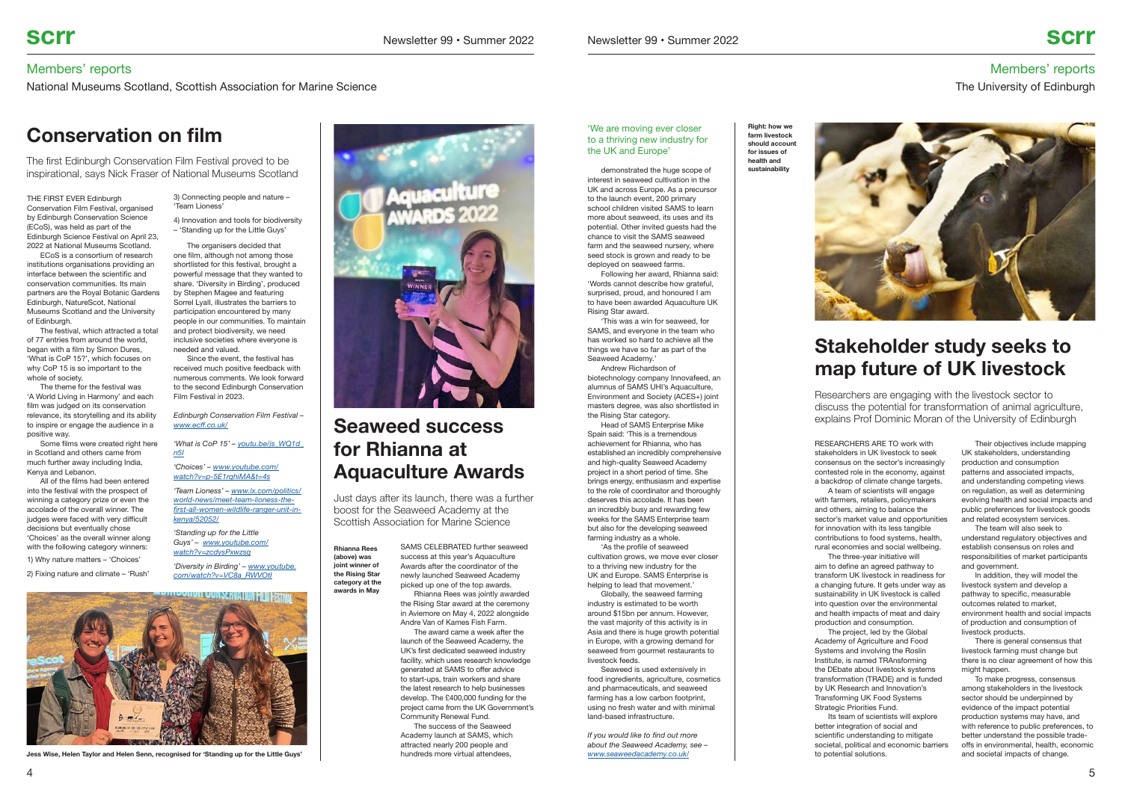# Members' reports

National Museums Scotland, Scottish Association for Marine Science

# **Conservation on film**

The first Edinburgh Conservation Film Festival proved to be inspirational, says Nick Fraser of National Museums Scotland

> SAMS CELEBRATED further seaweed success at this year's Aquaculture Awards after the coordinator of the newly launched Seaweed Academy picked up one of the top awards.

Rhianna Rees was jointly awarded the Rising Star award at the ceremony in Aviemore on May 4, 2022 alongside Andre Van of Kames Fish Farm.

The award came a week after the launch of the Seaweed Academy, the UK's first dedicated seaweed industry facility, which uses research knowledge nenerated at SAMS to offer advice to start-ups, train workers and share the latest research to help businesses develop. The £400,000 funding for the project came from the UK Government's Community Renewal Fund.

The success of the Seaweed Academy launch at SAMS, which attracted nearly 200 people and hundreds more virtual attendees,

# **Seaweed success for Rhianna at Aquaculture Awards**

Just days after its launch, there was a further boost for the Seaweed Academy at the Scottish Association for Marine Science

Some films were created right here in Scotland and others came from much further away including India, Kenya and Lebanon.

> **Rhianna Rees (above) was joint winner of the Rising Star category at the awards in May**

All of the films had been entered into the festival with the prospect of winning a category prize or even the accolade of the overall winner. The judges were faced with very difficult decisions but eventually chose 'Choices' as the overall winner along with the following category winners: 1) Why nature matters – 'Choices'



**Jess Wise, Helen Taylor and Helen Senn, recognised for 'Standing up for the Little Guys'**



THE FIRST EVER Edinburgh Conservation Film Festival, organised by Edinburgh Conservation Science (ECoS), was held as part of the Edinburgh Science Festival on April 23, 2022 at National Museums Scotland.

### *Edinburgh Conservation Film Festival –*  www.ecff.co.uk/

ECoS is a consortium of research institutions organisations providing an interface between the scientific and conservation communities. Its main partners are the Royal Botanic Gardens Edinburgh, NatureScot, National Museums Scotland and the University of Edinburgh.

> *'Team Lioness' – www.lx.com/politics/ world-news/meet-team-lioness-the*first-all-women-wildlife-ranger-unit-inkenva/52052/

The festival, which attracted a total of 77 entries from around the world, began with a film by Simon Dures. 'What is CoP 15?', which focuses on why CoP 15 is so important to the whole of society.

The theme for the festival was 'A World Living in Harmony' and each film was judged on its conservation relevance, its storytelling and its ability to inspire or engage the audience in a positive way.

> Its team of scientists will explore better integration of social and scientific understanding to mitigate societal, political and economic barriers to potential solutions.

2) Fixing nature and climate – 'Rush'

3) Connecting people and nature – 'Team Lioness'

4) Innovation and tools for biodiversity – 'Standing up for the Little Guys'

> There is general consensus that livestock farming must change but there is no clear agreement of how this might happen.

The organisers decided that one film, although not among those shortlisted for this festival, brought a powerful message that they wanted to share. 'Diversity in Birding', produced by Stephen Magee and featuring Sorrel Lyall, illustrates the barriers to participation encountered by many people in our communities. To maintain and protect biodiversity, we need inclusive societies where everyone is needed and valued.

Since the event, the festival has received much positive feedback with numerous comments. We look forward to the second Edinburgh Conservation Film Festival in 2023.

'This was a win for seaweed, for SAMS, and everyone in the team who has worked so hard to achieve all the things we have so far as part of the Seaweed Academy.

*'What is CoP 15' – youtu.be/js\_WQ1d\_ n5I*

*'Choices' – www.youtube.com/ watch?v=p-5E1rqhiMA&t=4s*

*'Standing up for the Little Guys' – www.youtube.com/ watch?v=zcdysPxwzsg*

*'Diversity in Birding' – www.youtube. com/watch?v=VC8a\_RWVOtI*



# Members' reports The University of Edinburgh



RESEARCHERS ARE TO work with stakeholders in UK livestock to seek consensus on the sector's increasingly contested role in the economy, against a backdrop of climate change targets. A team of scientists will engage with farmers, retailers, policymakers and others, aiming to balance the sector's market value and opportunities for innovation with its less tangible contributions to food systems, health, rural economies and social wellbeing. The three-year initiative will aim to define an agreed pathway to transform UK livestock in readiness for a changing future. It gets under way as sustainability in UK livestock is called into question over the environmental and health impacts of meat and dairy production and consumption. The project, led by the Global

Academy of Agriculture and Food Systems and involving the Roslin Institute, is named TRAnsforming the DEbate about livestock systems transformation (TRADE) and is funded by UK Research and Innovation's Transforming UK Food Systems Strategic Priorities Fund.

Their objectives include mapping UK stakeholders, understanding production and consumption patterns and associated impacts, and understanding competing views on regulation, as well as determining evolving health and social impacts and public preferences for livestock goods and related ecosystem services.

The team will also seek to understand regulatory objectives and establish consensus on roles and responsibilities of market participants and government.

In addition, they will model the livestock system and develop a pathway to specific, measurable outcomes related to market, environment health and social impacts of production and consumption of livestock products.

To make progress, consensus among stakeholders in the livestock sector should be underpinned by evidence of the impact potential production systems may have, and with reference to public preferences, to better understand the possible tradeoffs in environmental, health, economic and societal impacts of change.

# **Stakeholder study seeks to map future of UK livestock**

Researchers are engaging with the livestock sector to discuss the potential for transformation of animal agriculture, explains Prof Dominic Moran of the University of Edinburgh

demonstrated the huge scope of interest in seaweed cultivation in the UK and across Europe. As a precursor to the launch event, 200 primary school children visited SAMS to learn more about seaweed, its uses and its potential. Other invited guests had the chance to visit the SAMS seaweed farm and the seaweed nursery, where seed stock is grown and ready to be deployed on seaweed farms.

Following her award, Rhianna said: 'Words cannot describe how grateful, surprised, proud, and honoured I am to have been awarded Aquaculture UK Rising Star award.

Andrew Richardson of biotechnology company Innovafeed, an alumnus of SAMS UHI's Aquaculture, Environment and Society (ACES+) joint masters degree, was also shortlisted in the Rising Star category.

Head of SAMS Enterprise Mike Spain said: 'This is a tremendous achievement for Rhianna, who has established an incredibly comprehensive and high-quality Seaweed Academy project in a short period of time. She brings energy, enthusiasm and expertise to the role of coordinator and thoroughly deserves this accolade. It has been an incredibly busy and rewarding few weeks for the SAMS Enterprise team but also for the developing seaweed farming industry as a whole.

'As the profile of seaweed cultivation grows, we move ever closer to a thriving new industry for the UK and Europe. SAMS Enterprise is helping to lead that movement.'

Globally, the seaweed farming industry is estimated to be worth around \$15bn per annum. However, the vast majority of this activity is in Asia and there is huge growth potential in Europe, with a growing demand for seaweed from gourmet restaurants to livestock feeds.

Seaweed is used extensively in food ingredients, agriculture, cosmetics and pharmaceuticals, and seaweed farming has a low carbon footprint. using no fresh water and with minimal land-based infrastructure.

*If you would like to find out more about the Seaweed Academy, see – www.seaweedacademy.co.uk/* 

**Right: how we farm livestock should account for issues of health and sustainability** 



## 'We are moving ever closer to a thriving new industry for the UK and Europe'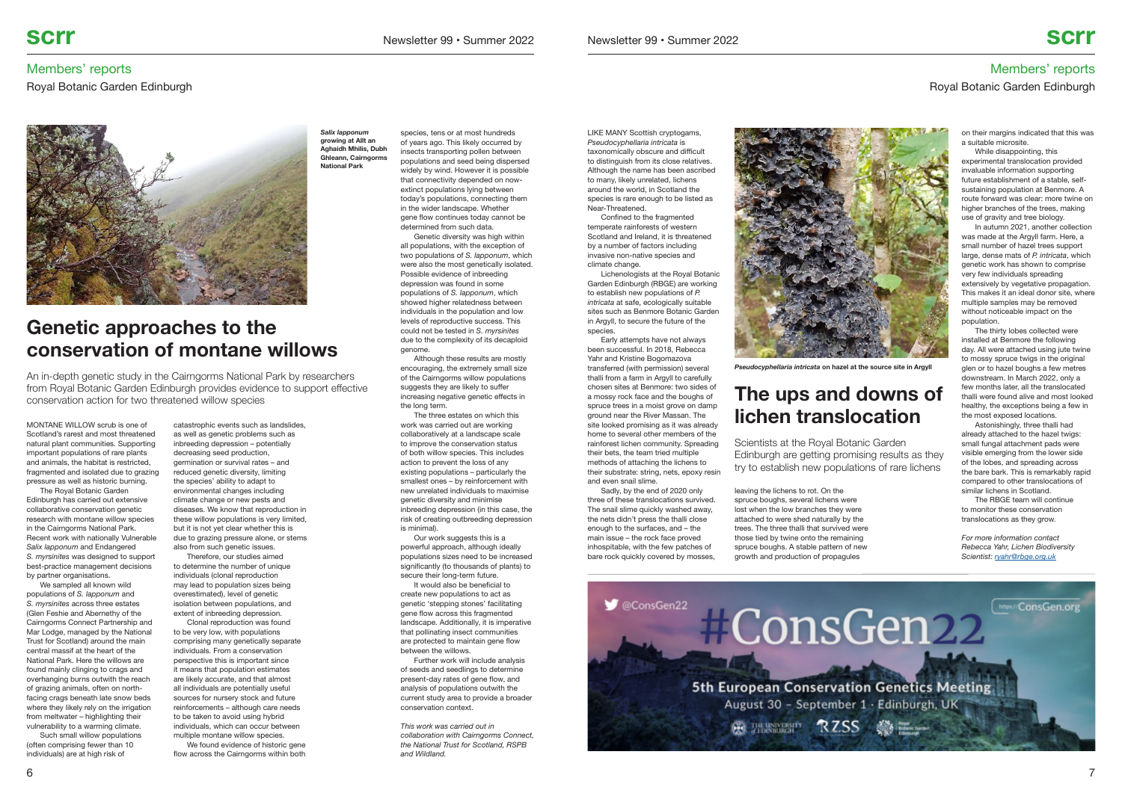# Members' reports

Royal Botanic Garden Edinburgh



# Members' reports Royal Botanic Garden Edinburgh

MONTANE WILLOW scrub is one of Scotland's rarest and most threatened natural plant communities. Supporting important populations of rare plants and animals, the habitat is restricted, fraamented and isolated due to grazing pressure as well as historic burning.

The Royal Botanic Garden Edinburgh has carried out extensive collaborative conservation genetic research with montane willow species in the Cairngorms National Park. Recent work with nationally Vulnerable *Salix lapponum* and Endangered *S. myrsinites* was designed to support best-practice management decisions by partner organisations.

We sampled all known wild populations of *S. lapponum* and *S. myrsinites* across three estates (Glen Feshie and Abernethy of the Cairngorms Connect Partnership and Mar Lodge, managed by the National Trust for Scotland) around the main central massif at the heart of the National Park. Here the willows are found mainly clinging to crags and overhanging burns outwith the reach of grazing animals, often on northfacing crags beneath late snow beds where they likely rely on the irrigation from meltwater – highlighting their vulnerability to a warming climate.

> We found evidence of historic gene flow across the Cairngorms within both

Such small willow populations (often comprising fewer than 10 individuals) are at high risk of

species, tens or at most hundreds of years ago. This likely occurred by insects transporting pollen between populations and seed being dispersed widely by wind. However it is possible that connectivity depended on nowextinct populations lying between today's populations, connecting them in the wider landscape. Whether aene flow continues today cannot be determined from such data.

catastrophic events such as landslides, as well as genetic problems such as inbreeding depression – potentially decreasing seed production, germination or survival rates – and reduced genetic diversity, limiting the species' ability to adapt to environmental changes including climate change or new pests and diseases. We know that reproduction in these willow populations is very limited, but it is not yet clear whether this is due to grazing pressure alone, or stems also from such genetic issues.

Genetic diversity was high within all populations, with the exception of two populations of *S. lapponum*, which were also the most genetically isolated. Possible evidence of inbreeding depression was found in some populations of *S. lapponum*, which showed higher relatedness between individuals in the population and low levels of reproductive success. This could not be tested in *S. myrsinites* due to the complexity of its decaploid genome.

Therefore, our studies aimed to determine the number of unique individuals (clonal reproduction  $\text{max}$  lead to population sizes being overestimated), level of genetic isolation between populations, and extent of inbreeding depression.

Clonal reproduction was found to be very low, with populations comprising many genetically separate individuals. From a conservation perspective this is important since it means that population estimates are likely accurate, and that almost all individuals are potentially useful sources for nursery stock and future reinforcements – although care needs to be taken to avoid using hybrid individuals, which can occur between multiple montane willow species.

It would also be beneficial to create new populations to act as genetic 'stepping stones' facilitating gene flow across this fragmented landscape. Additionally, it is imperative that pollinating insect communities are protected to maintain gene flow between the willows.

This work was carried out in *collaboration with Cairngorms Connect, the National Trust for Scotland, RSPB and Wildland.*

# **Genetic approaches to the conservation of montane willows**

An in-depth genetic study in the Cairngorms National Park by researchers from Roval Botanic Garden Edinburgh provides evidence to support effective conservation action for two threatened willow species

Confined to the fragmented temperate rainforests of western Scotland and Ireland, it is threatened by a number of factors including invasive non-native species and climate change.

Although these results are mostly encouraging, the extremely small size of the Cairngorms willow populations suggests they are likely to suffer increasing negative genetic effects in the long term.

The three estates on which this work was carried out are working collaboratively at a landscape scale to improve the conservation status of both willow species. This includes action to prevent the loss of any existing populations – particularly the smallest ones – by reinforcement with new unrelated individuals to maximise genetic diversity and minimise inbreeding depression (in this case, the risk of creating outbreeding depression is minimal).

*For more information contact Rebecca Yahr, Lichen Biodiversity Scientist: <i>yahr@rbge.org.uk* 

Our work suggests this is a powerful approach, although ideally populations sizes need to be increased significantly (to thousands of plants) to secure their long-term future.

Further work will include analysis of seeds and seedlings to determine present-day rates of gene flow, and analysis of populations outwith the current study area to provide a broader conservation context.

*Salix lapponum* **growing at Allt an Aghaidh Mhilis, Dubh Ghleann, Cairngorms National Park**

LIKE MANY Scottish cryptogams, *Pseudocyphellaria intricata* is taxonomically obscure and difficult to distinguish from its close relatives. Although the name has been ascribed to many, likely unrelated, lichens around the world, in Scotland the species is rare enough to be listed as Near-Threatened.

Lichenologists at the Royal Botanic Garden Edinburgh (RBGE) are working to establish new populations of *P. intricata* at safe, ecologically suitable sites such as Benmore Botanic Garden in Argyll, to secure the future of the species.

Early attempts have not always been successful. In 2018, Rebecca Yahr and Kristine Bogomazova transferred (with permission) several thalli from a farm in Argyll to carefully chosen sites at Benmore: two sides of a mossy rock face and the boughs of spruce trees in a moist grove on damp ground near the River Massan. The site looked promising as it was already home to several other members of the rainforest lichen community. Spreading their bets, the team tried multiple methods of attaching the lichens to their substrate: string, nets, epoxy resin and even snail slime.

Sadly, by the end of 2020 only three of these translocations survived. The snail slime quickly washed away, the nets didn't press the thalli close enough to the surfaces, and – the main issue – the rock face proved inhospitable, with the few patches of bare rock quickly covered by mosses,



leaving the lichens to rot. On the spruce boughs, several lichens were lost when the low branches they were attached to were shed naturally by the trees. The three thalli that survived were those tied by twine onto the remaining spruce boughs. A stable pattern of new growth and production of propagules



# **The ups and downs of lichen translocation**

Scientists at the Royal Botanic Garden Edinburgh are getting promising results as they try to establish new populations of rare lichens

*Pseudocyphellaria intricata* **on hazel at the source site in Argyll**

on their margins indicated that this was a suitable microsite.

While disappointing, this experimental translocation provided invaluable information supporting future establishment of a stable, selfsustaining population at Benmore. A route forward was clear: more twine on higher branches of the trees, making use of gravity and tree biology.

In autumn 2021, another collection was made at the Argyll farm. Here, a small number of hazel trees support large, dense mats of *P. intricata*, which genetic work has shown to comprise very few individuals spreading extensively by vegetative propagation. This makes it an ideal donor site, where multiple samples may be removed without noticeable impact on the population.

The thirty lobes collected were installed at Benmore the following day. All were attached using jute twine to mossy spruce twigs in the original glen or to hazel boughs a few metres downstream. In March 2022, only a few months later, all the translocated thalli were found alive and most looked healthy, the exceptions being a few in the most exposed locations.

Astonishingly, three thalli had already attached to the hazel twigs: small fungal attachment pads were visible emerging from the lower side of the lobes, and spreading across the bare bark. This is remarkably rapid compared to other translocations of similar lichens in Scotland.

The RBGE team will continue to monitor these conservation translocations as they grow.